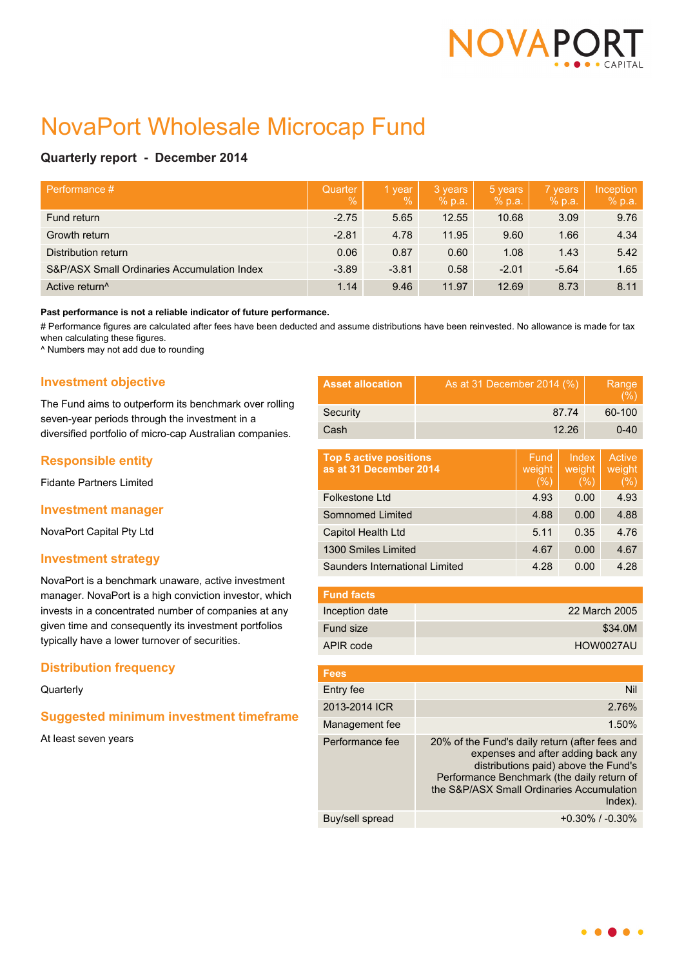

# NovaPort Wholesale Microcap Fund

# **Quarterly report - December 2014**

| Performance #                               | Quarter<br>$\frac{0}{6}$ | 1 year<br>$\%$ | 3 years<br>% p.a. | 5 years<br>% p.a. | 7 years<br>% p.a. | Inception<br>% p.a. |
|---------------------------------------------|--------------------------|----------------|-------------------|-------------------|-------------------|---------------------|
| Fund return                                 | $-2.75$                  | 5.65           | 12.55             | 10.68             | 3.09              | 9.76                |
| Growth return                               | $-2.81$                  | 4.78           | 11.95             | 9.60              | 1.66              | 4.34                |
| Distribution return                         | 0.06                     | 0.87           | 0.60              | 1.08              | 1.43              | 5.42                |
| S&P/ASX Small Ordinaries Accumulation Index | $-3.89$                  | $-3.81$        | 0.58              | $-2.01$           | $-5.64$           | 1.65                |
| Active return <sup>^</sup>                  | 1.14                     | 9.46           | 11.97             | 12.69             | 8.73              | 8.11                |

#### **Past performance is not a reliable indicator of future performance.**

# Performance figures are calculated after fees have been deducted and assume distributions have been reinvested. No allowance is made for tax when calculating these figures.

^ Numbers may not add due to rounding

# **Investment objective**

The Fund aims to outperform its benchmark over rolling seven-year periods through the investment in a diversified portfolio of micro-cap Australian companies.

# **Responsible entity**

Fidante Partners Limited

## **Investment manager**

NovaPort Capital Pty Ltd

## **Investment strategy**

NovaPort is a benchmark unaware, active investment manager. NovaPort is a high conviction investor, which invests in a concentrated number of companies at any given time and consequently its investment portfolios typically have a lower turnover of securities.

# **Distribution frequency**

#### **Quarterly**

# **Suggested minimum investment timeframe**

At least seven years

| <b>Asset allocation</b>                                 | As at 31 December 2014 (%)                                                                                                                                                                                                         |                        |                           | Range<br>$(\% )$ |                            |
|---------------------------------------------------------|------------------------------------------------------------------------------------------------------------------------------------------------------------------------------------------------------------------------------------|------------------------|---------------------------|------------------|----------------------------|
| Security                                                | 87.74                                                                                                                                                                                                                              |                        |                           | 60-100           |                            |
| Cash                                                    | 12.26                                                                                                                                                                                                                              |                        |                           | $0 - 40$         |                            |
| <b>Top 5 active positions</b><br>as at 31 December 2014 |                                                                                                                                                                                                                                    | Fund<br>weight<br>(% ) | Index<br>weight<br>$(\%)$ |                  | Active<br>weight<br>$(\%)$ |
| Folkestone Ltd                                          |                                                                                                                                                                                                                                    | 4.93                   |                           | 0.00             | 4.93                       |
| Somnomed Limited                                        |                                                                                                                                                                                                                                    | 4.88                   |                           | 0.00             | 4.88                       |
| Capitol Health Ltd                                      |                                                                                                                                                                                                                                    | 5.11                   |                           | 0.35             | 4.76                       |
| 1300 Smiles Limited                                     |                                                                                                                                                                                                                                    | 4.67                   | 0.00                      |                  | 4.67                       |
| Saunders International Limited                          |                                                                                                                                                                                                                                    | 4.28                   |                           | 0.00             | 4.28                       |
| <b>Fund facts</b>                                       |                                                                                                                                                                                                                                    |                        |                           |                  |                            |
| Inception date                                          |                                                                                                                                                                                                                                    |                        |                           |                  | 22 March 2005              |
| Fund size                                               | \$34.0M                                                                                                                                                                                                                            |                        |                           |                  |                            |
| APIR code                                               | HOW0027AU                                                                                                                                                                                                                          |                        |                           |                  |                            |
|                                                         |                                                                                                                                                                                                                                    |                        |                           |                  |                            |
| <b>Fees</b>                                             |                                                                                                                                                                                                                                    |                        |                           |                  |                            |
| Entry fee                                               | Nil                                                                                                                                                                                                                                |                        |                           |                  |                            |
| 2013-2014 ICR                                           | 2.76%                                                                                                                                                                                                                              |                        |                           |                  |                            |
| Management fee                                          | 1.50%                                                                                                                                                                                                                              |                        |                           |                  |                            |
| Performance fee                                         | 20% of the Fund's daily return (after fees and<br>expenses and after adding back any<br>distributions paid) above the Fund's<br>Performance Benchmark (the daily return of<br>the S&P/ASX Small Ordinaries Accumulation<br>Index). |                        |                           |                  |                            |

Buy/sell spread  $+0.30\%$  / -0.30%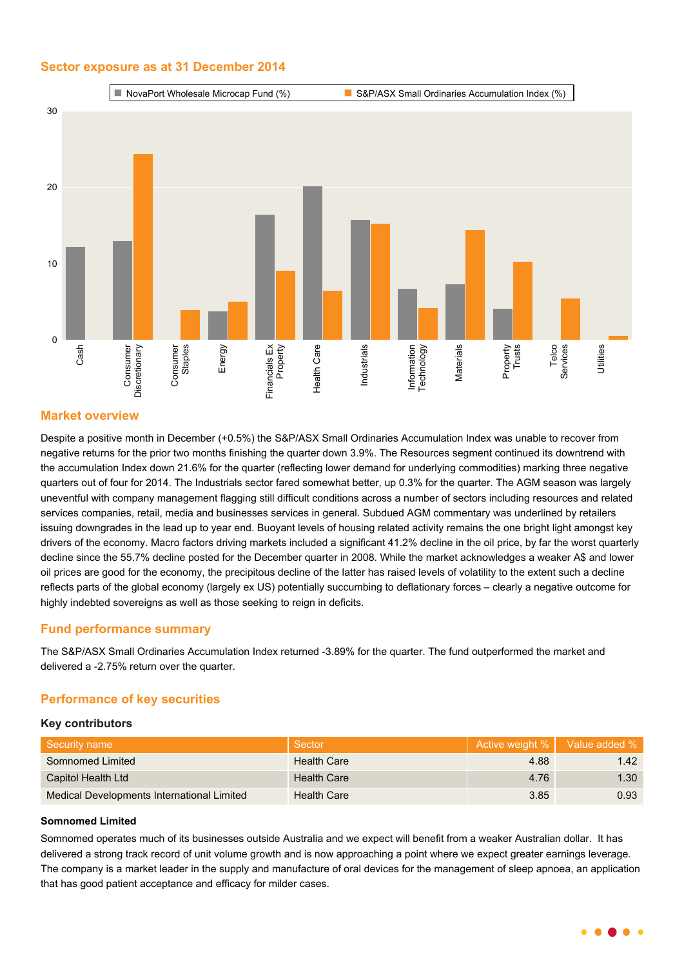## **Sector exposure as at 31 December 2014**



# **Market overview**

Despite a positive month in December (+0.5%) the S&P/ASX Small Ordinaries Accumulation Index was unable to recover from negative returns for the prior two months finishing the quarter down 3.9%. The Resources segment continued its downtrend with the accumulation Index down 21.6% for the quarter (reflecting lower demand for underlying commodities) marking three negative quarters out of four for 2014. The Industrials sector fared somewhat better, up 0.3% for the quarter. The AGM season was largely uneventful with company management flagging still difficult conditions across a number of sectors including resources and related services companies, retail, media and businesses services in general. Subdued AGM commentary was underlined by retailers issuing downgrades in the lead up to year end. Buoyant levels of housing related activity remains the one bright light amongst key drivers of the economy. Macro factors driving markets included a significant 41.2% decline in the oil price, by far the worst quarterly decline since the 55.7% decline posted for the December quarter in 2008. While the market acknowledges a weaker A\$ and lower oil prices are good for the economy, the precipitous decline of the latter has raised levels of volatility to the extent such a decline reflects parts of the global economy (largely ex US) potentially succumbing to deflationary forces – clearly a negative outcome for highly indebted sovereigns as well as those seeking to reign in deficits.

## **Fund performance summary**

The S&P/ASX Small Ordinaries Accumulation Index returned -3.89% for the quarter. The fund outperformed the market and delivered a -2.75% return over the quarter.

## **Performance of key securities**

#### **Key contributors**

| Security name                              | Sector             |      | Active weight %   Value added % |
|--------------------------------------------|--------------------|------|---------------------------------|
| Somnomed Limited                           | <b>Health Care</b> | 4.88 | 1.42                            |
| Capitol Health Ltd                         | <b>Health Care</b> | 4.76 | 1.30                            |
| Medical Developments International Limited | <b>Health Care</b> | 3.85 | 0.93                            |

#### **Somnomed Limited**

Somnomed operates much of its businesses outside Australia and we expect will benefit from a weaker Australian dollar. It has delivered a strong track record of unit volume growth and is now approaching a point where we expect greater earnings leverage. The company is a market leader in the supply and manufacture of oral devices for the management of sleep apnoea, an application that has good patient acceptance and efficacy for milder cases.